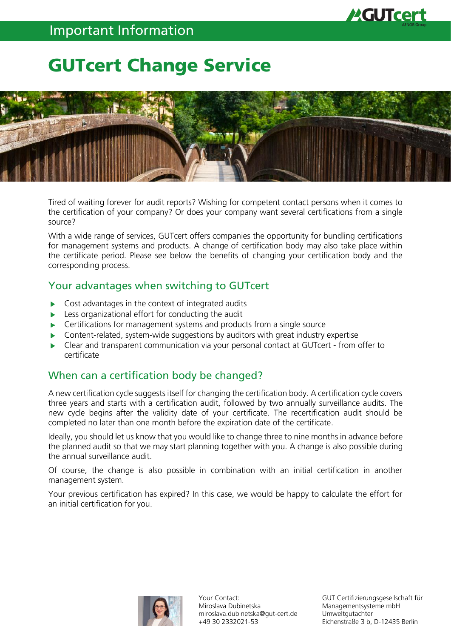# GUTcert Change Service



Tired of waiting forever for audit reports? Wishing for competent contact persons when it comes to the certification of your company? Or does your company want several certifications from a single source?

With a wide range of services, GUTcert offers companies the opportunity for bundling certifications for management systems and products. A change of certification body may also take place within the certificate period. Please see below the benefits of changing your certification body and the corresponding process.

### Your advantages when switching to GUTcert

- Cost advantages in the context of integrated audits
- Less organizational effort for conducting the audit
- Certifications for management systems and products from a single source
- Content-related, system-wide suggestions by auditors with great industry expertise ь
- Clear and transparent communication via your personal contact at GUTcert from offer to ь certificate

## When can a certification body be changed?

A new certification cycle suggests itself for changing the certification body. A certification cycle covers three years and starts with a certification audit, followed by two annually surveillance audits. The new cycle begins after the validity date of your certificate. The recertification audit should be completed no later than one month before the expiration date of the certificate.

Ideally, you should let us know that you would like to change three to nine months in advance before the planned audit so that we may start planning together with you. A change is also possible during the annual surveillance audit.

Of course, the change is also possible in combination with an initial certification in another management system.

Your previous certification has expired? In this case, we would be happy to calculate the effort for an initial certification for you.